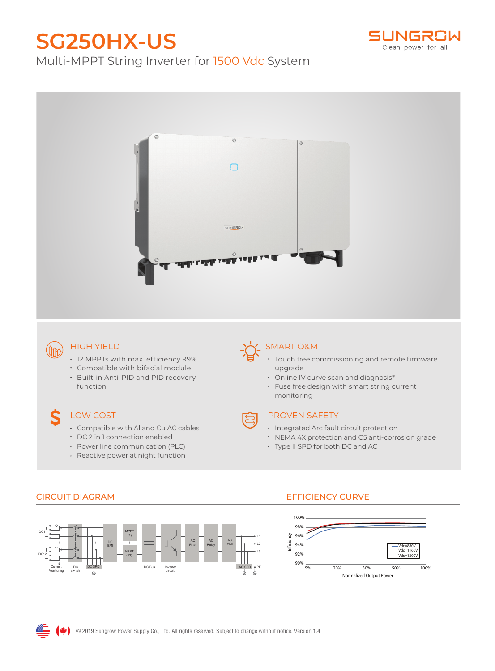# **SG250HX-US**



# Multi-MPPT String Inverter for 1500 Vdc System



### HIGH YIELD

 $(m<sub>0</sub>)$ 

- 12 MPPTs with max. efficiency 99%
- Compatible with bifacial module
- Built-in Anti-PID and PID recovery function

## LOW COST

- Compatible with Al and Cu AC cables
- DC 2 in 1 connection enabled
- Power line communication (PLC)
- Reactive power at night function

### SMART O&M

- Touch free commissioning and remote firmware upgrade
- Online IV curve scan and diagnosis\*
- Fuse free design with smart string current monitoring

- PROVEN SAFETY
- Integrated Arc fault circuit protection
- NEMA 4X protection and C5 anti-corrosion grade
- Type II SPD for both DC and AC



### CIRCUIT DIAGRAM EFFICIENCY CURVE